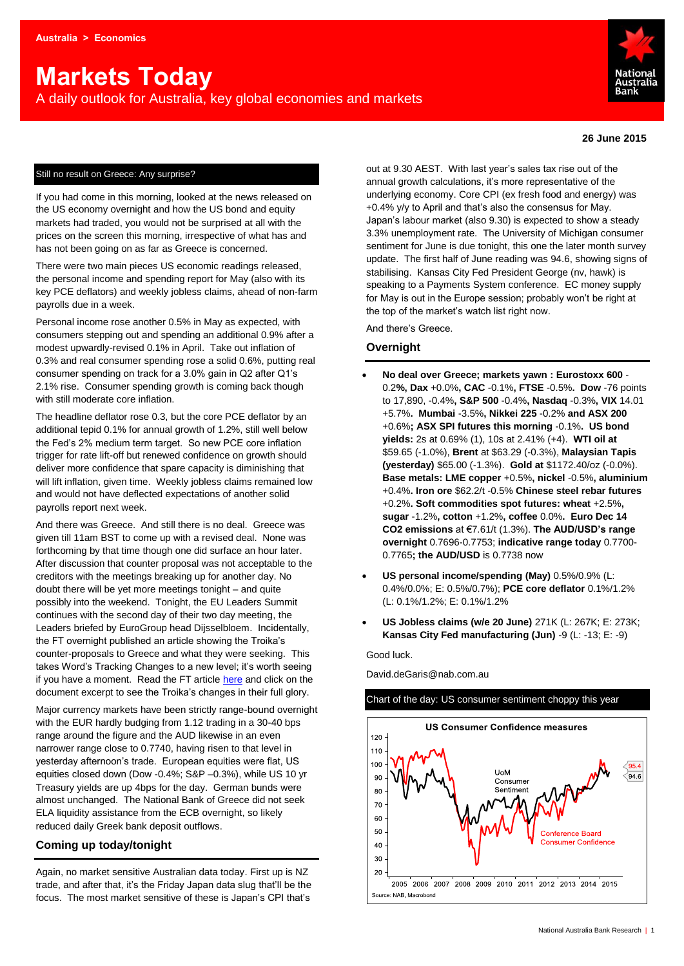# **Markets Today**

A daily outlook for Australia, key global economies and markets



#### **26 June 2015**

#### Still no result on Greece: Any surprise?

If you had come in this morning, looked at the news released on the US economy overnight and how the US bond and equity markets had traded, you would not be surprised at all with the prices on the screen this morning, irrespective of what has and has not been going on as far as Greece is concerned.

There were two main pieces US economic readings released, the personal income and spending report for May (also with its key PCE deflators) and weekly jobless claims, ahead of non-farm payrolls due in a week.

Personal income rose another 0.5% in May as expected, with consumers stepping out and spending an additional 0.9% after a modest upwardly-revised 0.1% in April. Take out inflation of 0.3% and real consumer spending rose a solid 0.6%, putting real consumer spending on track for a 3.0% gain in Q2 after Q1's 2.1% rise. Consumer spending growth is coming back though with still moderate core inflation.

The headline deflator rose 0.3, but the core PCE deflator by an additional tepid 0.1% for annual growth of 1.2%, still well below the Fed's 2% medium term target. So new PCE core inflation trigger for rate lift-off but renewed confidence on growth should deliver more confidence that spare capacity is diminishing that will lift inflation, given time. Weekly jobless claims remained low and would not have deflected expectations of another solid payrolls report next week.

And there was Greece. And still there is no deal. Greece was given till 11am BST to come up with a revised deal. None was forthcoming by that time though one did surface an hour later. After discussion that counter proposal was not acceptable to the creditors with the meetings breaking up for another day. No doubt there will be yet more meetings tonight – and quite possibly into the weekend. Tonight, the EU Leaders Summit continues with the second day of their two day meeting, the Leaders briefed by EuroGroup head Dijsselbloem. Incidentally, the FT overnight published an article showing the Troika's counter-proposals to Greece and what they were seeking. This takes Word's Tracking Changes to a new level; it's worth seeing if you have a moment. Read the FT article [here](http://ftalphaville.ft.com/2015/06/24/2132849/in-which-red-lines-meet-red-ink/) and click on the document excerpt to see the Troika's changes in their full glory.

Major currency markets have been strictly range-bound overnight with the EUR hardly budging from 1.12 trading in a 30-40 bps range around the figure and the AUD likewise in an even narrower range close to 0.7740, having risen to that level in yesterday afternoon's trade. European equities were flat, US equities closed down (Dow -0.4%; S&P –0.3%), while US 10 yr Treasury yields are up 4bps for the day. German bunds were almost unchanged. The National Bank of Greece did not seek ELA liquidity assistance from the ECB overnight, so likely reduced daily Greek bank deposit outflows.

# **Coming up today/tonight**

Again, no market sensitive Australian data today. First up is NZ trade, and after that, it's the Friday Japan data slug that'll be the focus. The most market sensitive of these is Japan's CPI that's

out at 9.30 AEST. With last year's sales tax rise out of the annual growth calculations, it's more representative of the underlying economy. Core CPI (ex fresh food and energy) was +0.4% y/y to April and that's also the consensus for May. Japan's labour market (also 9.30) is expected to show a steady 3.3% unemployment rate. The University of Michigan consumer sentiment for June is due tonight, this one the later month survey update. The first half of June reading was 94.6, showing signs of stabilising. Kansas City Fed President George (nv, hawk) is speaking to a Payments System conference. EC money supply for May is out in the Europe session; probably won't be right at the top of the market's watch list right now.

And there's Greece.

### **Overnight**

- **No deal over Greece; markets yawn : Eurostoxx 600**  0.2**%, Dax** +0.0%**, CAC** -0.1%**, FTSE** -0.5%**. Dow** -76 points to 17,890, -0.4%**, S&P 500** -0.4%**, Nasdaq** -0.3%**, VIX** 14.01 +5.7%**. Mumbai** -3.5%**, Nikkei 225** -0.2% **and ASX 200** +0.6%**; ASX SPI futures this morning** -0.1%**. US bond yields:** 2s at 0.69% (1), 10s at 2.41% (+4). **WTI oil at**  \$59.65 (-1.0%), **Brent** at \$63.29 (-0.3%), **Malaysian Tapis (yesterday)** \$65.00 (-1.3%). **Gold at** \$1172.40/oz (-0.0%). **Base metals: LME copper** +0.5%**, nickel** -0.5%**, aluminium** +0.4%**. Iron ore** \$62.2/t -0.5% **Chinese steel rebar futures**  +0.2%**. Soft commodities spot futures: wheat** +2.5%**, sugar** -1.2%**, cotton** +1.2%**, coffee** 0.0%**. Euro Dec 14 CO2 emissions** at €7.61/t (1.3%). **The AUD/USD's range overnight** 0.7696-0.7753; **indicative range today** 0.7700- 0.7765**; the AUD/USD** is 0.7738 now
- **US personal income/spending (May)** 0.5%/0.9% (L: 0.4%/0.0%; E: 0.5%/0.7%); **PCE core deflator** 0.1%/1.2% (L: 0.1%/1.2%; E: 0.1%/1.2%
- **US Jobless claims (w/e 20 June)** 271K (L: 267K; E: 273K; **Kansas City Fed manufacturing (Jun)** -9 (L: -13; E: -9)

Good luck.

David.deGaris@nab.com.au

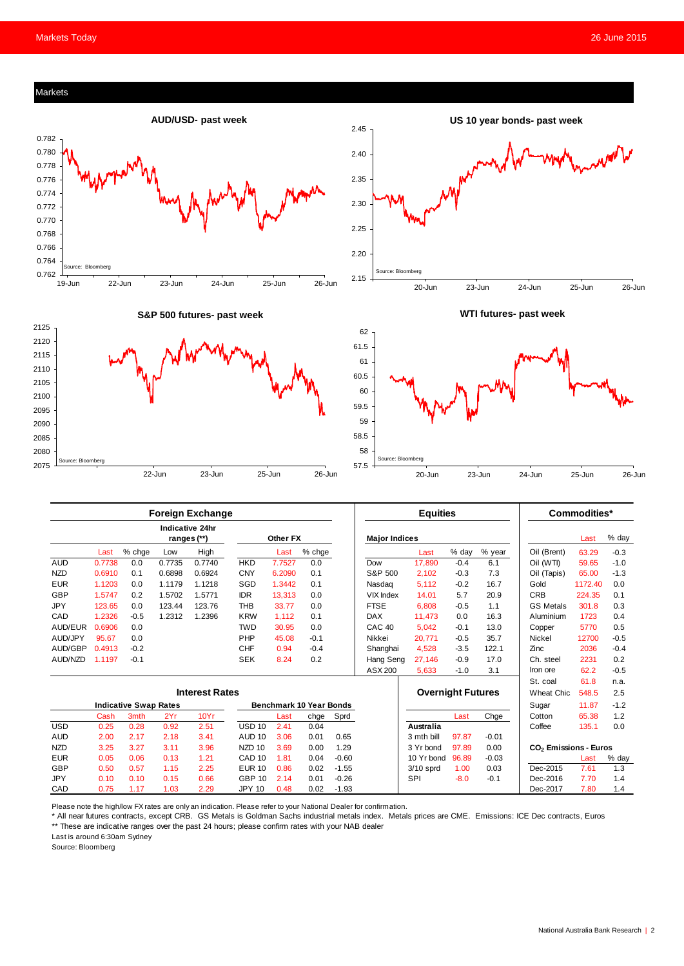# Markets





**US 10 year bonds- past week**

**S&P 500 futures- past week**



**WTI futures- past week** 



| <b>Foreign Exchange</b>      |        |        |        |                                       |                                |          |        | <b>Equities</b> |                          |                  |        | Commodities* |                                   |         |        |
|------------------------------|--------|--------|--------|---------------------------------------|--------------------------------|----------|--------|-----------------|--------------------------|------------------|--------|--------------|-----------------------------------|---------|--------|
|                              |        |        |        | <b>Indicative 24hr</b><br>ranges (**) |                                | Other FX |        |                 | <b>Major Indices</b>     |                  |        |              |                                   | Last    | % day  |
|                              | Last   | % chge | Low    | High                                  |                                | Last     | % chge |                 |                          | Last             | % day  | % year       | Oil (Brent)                       | 63.29   | $-0.3$ |
| <b>AUD</b>                   | 0.7738 | 0.0    | 0.7735 | 0.7740                                | <b>HKD</b>                     | 7.7527   | 0.0    |                 | Dow                      | 17,890           | $-0.4$ | 6.1          | Oil (WTI)                         | 59.65   | $-1.0$ |
| <b>NZD</b>                   | 0.6910 | 0.1    | 0.6898 | 0.6924                                | <b>CNY</b>                     | 6.2090   | 0.1    |                 | S&P 500                  | 2,102            | $-0.3$ | 7.3          | Oil (Tapis)                       | 65.00   | $-1.3$ |
| <b>EUR</b>                   | 1.1203 | 0.0    | 1.1179 | 1.1218                                | SGD                            | 1.3442   | 0.1    |                 | Nasdag                   | 5,112            | $-0.2$ | 16.7         | Gold                              | 1172.40 | 0.0    |
| <b>GBP</b>                   | 1.5747 | 0.2    | 1.5702 | 1.5771                                | <b>IDR</b>                     | 13.313   | 0.0    |                 | <b>VIX Index</b>         | 14.01            | 5.7    | 20.9         | <b>CRB</b>                        | 224.35  | 0.1    |
| <b>JPY</b>                   | 123.65 | 0.0    | 123.44 | 123.76                                | <b>THB</b>                     | 33.77    | 0.0    |                 | <b>FTSE</b>              | 6,808            | $-0.5$ | 1.1          | <b>GS Metals</b>                  | 301.8   | 0.3    |
| CAD                          | 1.2326 | $-0.5$ | 1.2312 | 1.2396                                | <b>KRW</b>                     | 1,112    | 0.1    |                 | <b>DAX</b>               | 11,473           | 0.0    | 16.3         | Aluminium                         | 1723    | 0.4    |
| AUD/EUR                      | 0.6906 | 0.0    |        |                                       | <b>TWD</b>                     | 30.95    | 0.0    |                 | CAC <sub>40</sub>        | 5,042            | $-0.1$ | 13.0         | Copper                            | 5770    | 0.5    |
| AUD/JPY                      | 95.67  | 0.0    |        |                                       | PHP                            | 45.08    | $-0.1$ |                 | Nikkei                   | 20.771           | $-0.5$ | 35.7         | Nickel                            | 12700   | $-0.5$ |
| <b>AUD/GBP</b>               | 0.4913 | $-0.2$ |        |                                       | <b>CHF</b>                     | 0.94     | $-0.4$ |                 | Shanghai                 | 4,528            | $-3.5$ | 122.1        | Zinc                              | 2036    | $-0.4$ |
| AUD/NZD                      | 1.1197 | $-0.1$ |        |                                       | <b>SEK</b>                     | 8.24     | 0.2    |                 | Hang Seng                | 27,146           | $-0.9$ | 17.0         | Ch. steel                         | 2231    | 0.2    |
|                              |        |        |        |                                       |                                |          |        |                 | ASX 200                  | 5,633            | $-1.0$ | 3.1          | Iron ore                          | 62.2    | $-0.5$ |
|                              |        |        |        |                                       |                                |          |        |                 |                          |                  |        |              | St. coal                          | 61.8    | n.a.   |
| <b>Interest Rates</b>        |        |        |        |                                       |                                |          |        |                 | <b>Overnight Futures</b> |                  |        | Wheat Chic.  | 548.5                             | 2.5     |        |
| <b>Indicative Swap Rates</b> |        |        |        |                                       | <b>Benchmark 10 Year Bonds</b> |          |        |                 |                          |                  |        | Sugar        | 11.87                             | $-1.2$  |        |
|                              | Cash   | 3mth   | 2Yr    | 10Yr                                  |                                | Last     | chge   | Sprd            |                          |                  | Last   | Chge         | Cotton                            | 65.38   | 1.2    |
| <b>USD</b>                   | 0.25   | 0.28   | 0.92   | 2.51                                  | USD <sub>10</sub>              | 2.41     | 0.04   |                 |                          | <b>Australia</b> |        |              | Coffee                            | 135.1   | 0.0    |
| <b>AUD</b>                   | 2.00   | 2.17   | 2.18   | 3.41                                  | <b>AUD 10</b>                  | 3.06     | 0.01   | 0.65            |                          | 3 mth bill       | 97.87  | $-0.01$      |                                   |         |        |
| <b>NZD</b>                   | 3.25   | 3.27   | 3.11   | 3.96                                  | <b>NZD 10</b>                  | 3.69     | 0.00   | 1.29            |                          | 3 Yr bond        | 97.89  | 0.00         | CO <sub>2</sub> Emissions - Euros |         |        |
| <b>EUR</b>                   | 0.05   | 0.06   | 0.13   | 1.21                                  | CAD <sub>10</sub>              | 1.81     | 0.04   | $-0.60$         |                          | 10 Yr bond       | 96.89  | $-0.03$      |                                   | Last    | % day  |
| <b>GBP</b>                   | 0.50   | 0.57   | 1.15   | 2.25                                  | <b>EUR 10</b>                  | 0.86     | 0.02   | $-1.55$         |                          | $3/10$ sprd      | 1.00   | 0.03         | Dec-2015                          | 7.61    | 1.3    |
| JPY                          | 0.10   | 0.10   | 0.15   | 0.66                                  | <b>GBP 10</b>                  | 2.14     | 0.01   | $-0.26$         |                          | SPI              | $-8.0$ | $-0.1$       | Dec-2016                          | 7.70    | 1.4    |
| CAD                          | 0.75   | 1.17   | 1.03   | 2.29                                  | <b>JPY 10</b>                  | 0.48     | 0.02   | $-1.93$         |                          |                  |        |              | Dec-2017                          | 7.80    | 1.4    |

Please note the high/low FX rates are only an indication. Please refer to your National Dealer for confirmation.

\* All near futures contracts, except CRB. GS Metals is Goldman Sachs industrial metals index. Metals prices are CME. Emissions: ICE Dec contracts, Euros \*\* These are indicative ranges over the past 24 hours; please confirm rates with your NAB dealer

Last is around 6:30am Sydney

Source: Bloomberg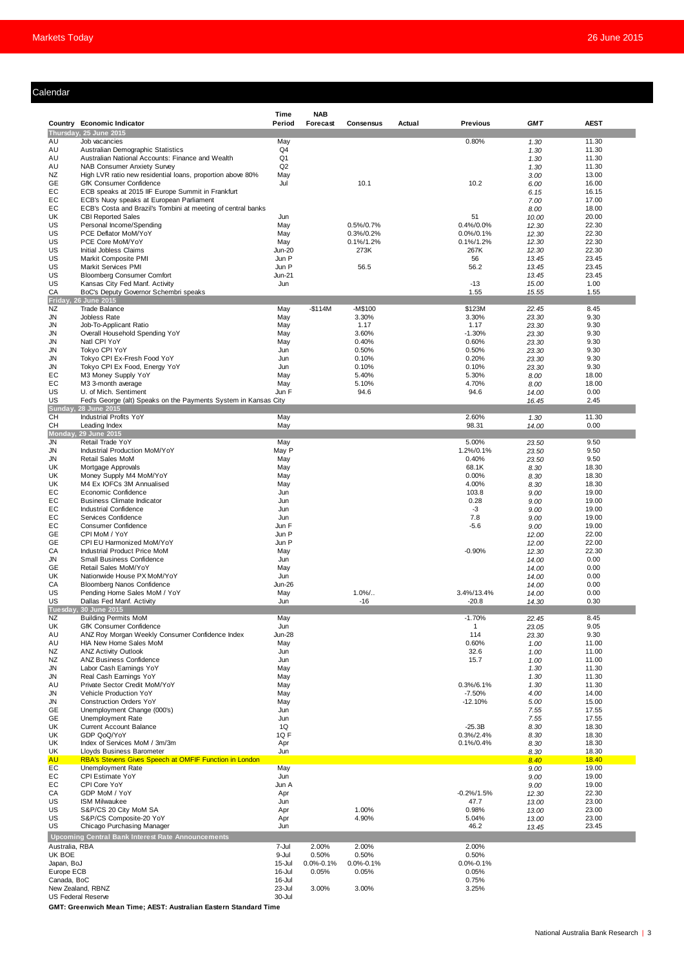# Calendar

| ılendar                  |                                                                                                          |                  |                          |                            |        |                                |                |                |
|--------------------------|----------------------------------------------------------------------------------------------------------|------------------|--------------------------|----------------------------|--------|--------------------------------|----------------|----------------|
|                          |                                                                                                          |                  |                          |                            |        |                                |                |                |
|                          | Country Economic Indicator                                                                               | Time<br>Period   | <b>NAB</b><br>Forecast   | Consensus                  | Actual | <b>Previous</b>                | <b>GMT</b>     | <b>AEST</b>    |
|                          | Thursday, 25 June 2015                                                                                   |                  |                          |                            |        |                                |                |                |
| AU<br>AU                 | Job vacancies<br>Australian Demographic Statistics                                                       | May<br>Q4        |                          |                            |        | 0.80%                          | 1.30<br>1.30   | 11.30<br>11.30 |
| AU                       | Australian National Accounts: Finance and Wealth                                                         | Q1               |                          |                            |        |                                | 1.30           | 11.30          |
| AU                       | <b>NAB Consumer Anxiety Survey</b>                                                                       | Q2               |                          |                            |        |                                | 1.30           | 11.30          |
| NZ<br>GE                 | High LVR ratio new residential loans, proportion above 80%<br>GfK Consumer Confidence                    | May<br>Jul       |                          | 10.1                       |        | 10.2                           | 3.00<br>6.00   | 13.00<br>16.00 |
| EC                       | ECB speaks at 2015 IIF Europe Summit in Frankfurt                                                        |                  |                          |                            |        |                                | 6.15           | 16.15          |
| EC<br>EC                 | ECB's Nuoy speaks at European Parliament<br>ECB's Costa and Brazil's Tombini at meeting of central banks |                  |                          |                            |        |                                | 7.00<br>8.00   | 17.00<br>18.00 |
| UK                       | <b>CBI Reported Sales</b>                                                                                | Jun              |                          |                            |        | 51                             | 10.00          | 20.00          |
| US<br>US                 | Personal Income/Spending                                                                                 | May              |                          | 0.5%/0.7%                  |        | $0.4\%/0.0\%$                  | 12.30          | 22.30          |
| US                       | PCE Deflator MoM/YoY<br>PCE Core MoM/YoY                                                                 | May<br>May       |                          | 0.3%/0.2%<br>$0.1\%/1.2\%$ |        | $0.0\%/0.1\%$<br>$0.1\%/1.2\%$ | 12.30<br>12.30 | 22.30<br>22.30 |
| US                       | Initial Jobless Claims                                                                                   | <b>Jun-20</b>    |                          | 273K                       |        | 267K                           | 12.30          | 22.30          |
| US<br>US                 | Markit Composite PMI<br><b>Markit Services PMI</b>                                                       | Jun P<br>Jun P   |                          | 56.5                       |        | 56<br>56.2                     | 13.45<br>13.45 | 23.45<br>23.45 |
| US                       | <b>Bloomberg Consumer Comfort</b>                                                                        | <b>Jun-21</b>    |                          |                            |        |                                | 13.45          | 23.45          |
| US                       | Kansas City Fed Manf. Activity                                                                           | Jun              |                          |                            |        | $-13$                          | 15.00          | 1.00           |
| CA                       | BoC's Deputy Governor Schembri speaks<br>Friday, 26 June 2015                                            |                  |                          |                            |        | 1.55                           | 15.55          | 1.55           |
| NZ                       | <b>Trade Balance</b>                                                                                     | May              | $-$114M$                 | -M\$100                    |        | \$123M                         | 22.45          | 8.45           |
| <b>JN</b><br><b>JN</b>   | Jobless Rate                                                                                             | May              |                          | 3.30%<br>1.17              |        | 3.30%<br>1.17                  | 23.30          | 9.30<br>9.30   |
| <b>JN</b>                | Job-To-Applicant Ratio<br>Overall Household Spending YoY                                                 | May<br>May       |                          | 3.60%                      |        | $-1.30%$                       | 23.30<br>23.30 | 9.30           |
| <b>JN</b>                | Natl CPI YoY                                                                                             | May              |                          | 0.40%                      |        | 0.60%                          | 23.30          | 9.30           |
| <b>JN</b><br><b>JN</b>   | Tokyo CPI YoY<br>Tokyo CPI Ex-Fresh Food YoY                                                             | Jun<br>Jun       |                          | 0.50%<br>0.10%             |        | 0.50%<br>0.20%                 | 23.30<br>23.30 | 9.30<br>9.30   |
| <b>JN</b>                | Tokyo CPI Ex Food, Energy YoY                                                                            | Jun              |                          | 0.10%                      |        | 0.10%                          | 23.30          | 9.30           |
| EC                       | M3 Money Supply YoY                                                                                      | May              |                          | 5.40%                      |        | 5.30%                          | 8.00           | 18.00          |
| EC<br>US                 | M3 3-month average<br>U. of Mich. Sentiment                                                              | May<br>Jun F     |                          | 5.10%<br>94.6              |        | 4.70%<br>94.6                  | 8.00<br>14.00  | 18.00<br>0.00  |
| US                       | Fed's George (alt) Speaks on the Payments System in Kansas City                                          |                  |                          |                            |        |                                | 16.45          | 2.45           |
| CH                       | <b>Sunday, 28 June 2015</b><br>Industrial Profits YoY                                                    | May              |                          |                            |        | 2.60%                          | 1.30           | 11.30          |
| CН                       | Leading Index                                                                                            | May              |                          |                            |        | 98.31                          | 14.00          | 0.00           |
|                          | Monday, 29 June 2015                                                                                     |                  |                          |                            |        |                                |                |                |
| <b>JN</b><br><b>JN</b>   | Retail Trade YoY<br>Industrial Production MoM/YoY                                                        | May<br>May P     |                          |                            |        | 5.00%<br>1.2%/0.1%             | 23.50<br>23.50 | 9.50<br>9.50   |
| <b>JN</b>                | <b>Retail Sales MoM</b>                                                                                  | May              |                          |                            |        | 0.40%                          | 23.50          | 9.50           |
| UK                       | Mortgage Approvals                                                                                       | May              |                          |                            |        | 68.1K                          | 8.30           | 18.30          |
| UK<br>UK                 | Money Supply M4 MoM/YoY<br>M4 Ex IOFCs 3M Annualised                                                     | May<br>May       |                          |                            |        | 0.00%<br>4.00%                 | 8.30<br>8.30   | 18.30<br>18.30 |
| EC                       | Economic Confidence                                                                                      | Jun              |                          |                            |        | 103.8                          | 9.00           | 19.00          |
| EC<br>EC                 | <b>Business Climate Indicator</b><br><b>Industrial Confidence</b>                                        | Jun<br>Jun       |                          |                            |        | 0.28<br>-3                     | 9.00<br>9.00   | 19.00<br>19.00 |
| EC                       | Services Confidence                                                                                      | Jun              |                          |                            |        | 7.8                            | 9.00           | 19.00          |
| EC                       | <b>Consumer Confidence</b>                                                                               | Jun F            |                          |                            |        | $-5.6$                         | 9.00           | 19.00          |
| GE<br>GE                 | CPI MoM / YoY<br>CPI EU Harmonized MoM/YoY                                                               | Jun P<br>Jun P   |                          |                            |        |                                | 12.00<br>12.00 | 22.00<br>22.00 |
| CA                       | Industrial Product Price MoM                                                                             | May              |                          |                            |        | $-0.90%$                       | 12.30          | 22.30          |
| <b>JN</b><br><b>GE</b>   | <b>Small Business Confidence</b><br>Retail Sales MoM/YoY                                                 | Jun<br>May       |                          |                            |        |                                | 14.00<br>14.00 | 0.00<br>0.00   |
| UK                       | Nationwide House PX MoM/YoY                                                                              | Jun              |                          |                            |        |                                | 14.00          | 0.00           |
| CA                       | <b>Bloomberg Nanos Confidence</b>                                                                        | <b>Jun-26</b>    |                          |                            |        |                                | 14.00          | 0.00           |
| US<br>US                 | Pending Home Sales MoM / YoY<br>Dallas Fed Manf. Activity                                                | May<br>Jun       |                          | $1.0\%$ .<br>$-16$         |        | 3.4%/13.4%<br>$-20.8$          | 14.00<br>14.30 | 0.00<br>0.30   |
| Tuesday,                 | 30 June 2015                                                                                             |                  |                          |                            |        |                                |                |                |
| NZ<br>UK                 | <b>Building Permits MoM</b><br>GfK Consumer Confidence                                                   | May<br>Jun       |                          |                            |        | $-1.70%$<br>1                  | 22.45<br>23.05 | 8.45<br>9.05   |
| AU                       | ANZ Roy Morgan Weekly Consumer Confidence Index                                                          | <b>Jun-28</b>    |                          |                            |        | 114                            | 23.30          | 9.30           |
| AU                       | HIA New Home Sales MoM                                                                                   | May              |                          |                            |        | 0.60%                          | 1.00           | 11.00          |
| NZ<br>NZ                 | <b>ANZ Activity Outlook</b><br><b>ANZ Business Confidence</b>                                            | Jun<br>Jun       |                          |                            |        | 32.6<br>15.7                   | 1.00<br>1.00   | 11.00<br>11.00 |
| JN                       | Labor Cash Eamings YoY                                                                                   | May              |                          |                            |        |                                | 1.30           | 11.30          |
| JN<br>AU                 | Real Cash Earnings YoY<br>Private Sector Credit MoM/YoY                                                  | May<br>May       |                          |                            |        | 0.3%/6.1%                      | 1.30<br>1.30   | 11.30<br>11.30 |
| JN                       | Vehicle Production YoY                                                                                   | May              |                          |                            |        | $-7.50%$                       | 4.00           | 14.00          |
| <b>JN</b>                | <b>Construction Orders YoY</b>                                                                           | May              |                          |                            |        | $-12.10%$                      | 5.00           | 15.00          |
| GE<br>GE                 | Unemployment Change (000's)<br>Unemployment Rate                                                         | Jun<br>Jun       |                          |                            |        |                                | 7.55<br>7.55   | 17.55<br>17.55 |
| UK                       | <b>Current Account Balance</b>                                                                           | 1Q               |                          |                            |        | $-25.3B$                       | 8.30           | 18.30          |
| UK<br>UK                 | GDP QoQ/YoY<br>Index of Services MoM / 3m/3m                                                             | 1QF<br>Apr       |                          |                            |        | $0.3\%/2.4\%$<br>0.1%/0.4%     | 8.30<br>8.30   | 18.30<br>18.30 |
| UK                       | Lloyds Business Barometer                                                                                | Jun              |                          |                            |        |                                | 8.30           | 18.30          |
| <b>AU</b>                | RBA's Stevens Gives Speech at OMFIF Function in London                                                   |                  |                          |                            |        |                                | 8.40           | 18.40          |
| EC<br>EC                 | Unemployment Rate<br>CPI Estimate YoY                                                                    | May<br>Jun       |                          |                            |        |                                | 9.00<br>9.00   | 19.00<br>19.00 |
| EC                       | CPI Core YoY                                                                                             | Jun A            |                          |                            |        |                                | 9.00           | 19.00          |
| CA<br>US                 | GDP MoM / YoY<br><b>ISM Milwaukee</b>                                                                    | Apr<br>Jun       |                          |                            |        | $-0.2% / 1.5%$<br>47.7         | 12.30          | 22.30<br>23.00 |
| US                       | S&P/CS 20 City MoM SA                                                                                    | Apr              |                          | 1.00%                      |        | 0.98%                          | 13.00<br>13.00 | 23.00          |
| US                       | S&P/CS Composite-20 YoY                                                                                  | Apr              |                          | 4.90%                      |        | 5.04%                          | 13.00          | 23.00          |
| US                       | Chicago Purchasing Manager<br>Upcoming Central Bank Interest Rate Announcements                          | Jun              |                          |                            |        | 46.2                           | 13.45          | 23.45          |
| Australia, RBA           |                                                                                                          | 7-Jul            | 2.00%                    | 2.00%                      |        | 2.00%                          |                |                |
| UK BOE                   |                                                                                                          | 9-Jul            | 0.50%                    | 0.50%                      |        | 0.50%                          |                |                |
| Japan, BoJ<br>Europe ECB |                                                                                                          | 15-Jul<br>16-Jul | $0.0\% - 0.1\%$<br>0.05% | $0.0\% - 0.1\%$<br>0.05%   |        | $0.0\% - 0.1\%$<br>0.05%       |                |                |
|                          |                                                                                                          | 16-Jul           |                          |                            |        | 0.75%                          |                |                |
| Canada, BoC              | New Zealand, RBNZ                                                                                        | 23-Jul           |                          |                            |        |                                |                |                |

**GMT: Greenwich Mean Time; AEST: Australian Eastern Standard Time**